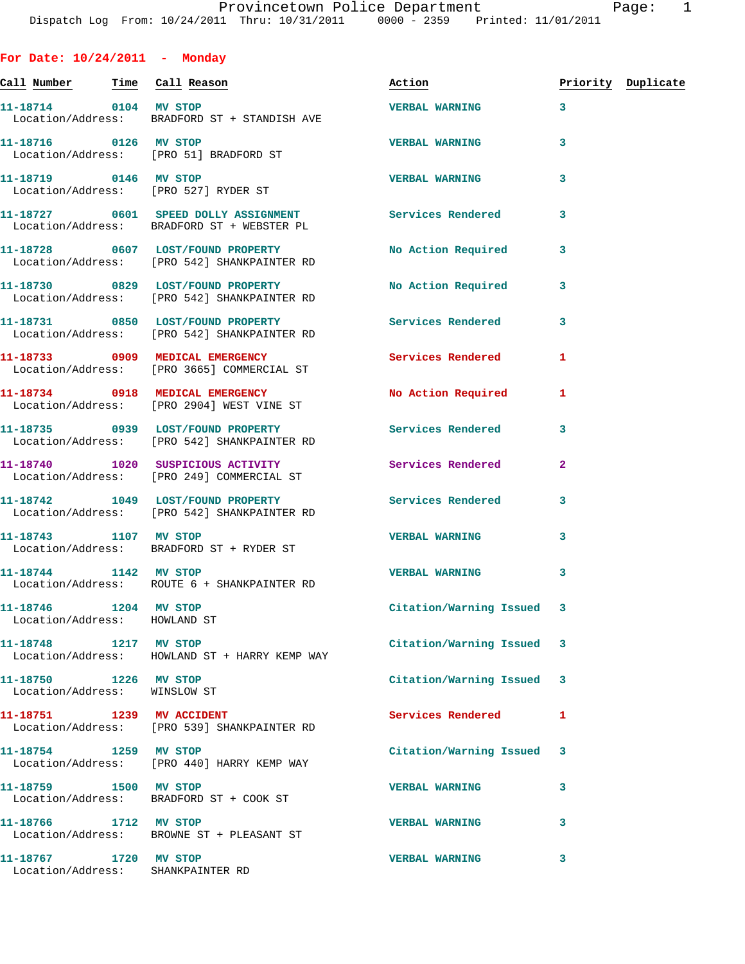| <u>Call Number — Time Call Reason</u>                      |                                                                                                      | Action                    |              | Priority Duplicate |
|------------------------------------------------------------|------------------------------------------------------------------------------------------------------|---------------------------|--------------|--------------------|
| 11-18714 0104 MV STOP                                      | Location/Address: BRADFORD ST + STANDISH AVE                                                         | <b>VERBAL WARNING</b>     | 3            |                    |
| 11-18716 0126 MV STOP                                      | Location/Address: [PRO 51] BRADFORD ST                                                               | <b>VERBAL WARNING</b>     | 3            |                    |
|                                                            | 11-18719 0146 MV STOP<br>Location/Address: [PRO 527] RYDER ST                                        | <b>VERBAL WARNING</b>     | 3            |                    |
|                                                            | 11-18727 0601 SPEED DOLLY ASSIGNMENT Services Rendered<br>Location/Address: BRADFORD ST + WEBSTER PL |                           | 3            |                    |
|                                                            | 11-18728 0607 LOST/FOUND PROPERTY<br>Location/Address: [PRO 542] SHANKPAINTER RD                     | No Action Required        | 3            |                    |
|                                                            | 11-18730 0829 LOST/FOUND PROPERTY<br>Location/Address: [PRO 542] SHANKPAINTER RD                     | No Action Required        | 3            |                    |
|                                                            | 11-18731 0850 LOST/FOUND PROPERTY<br>Location/Address: [PRO 542] SHANKPAINTER RD                     | <b>Services Rendered</b>  | 3            |                    |
|                                                            | 11-18733 0909 MEDICAL EMERGENCY<br>Location/Address: [PRO 3665] COMMERCIAL ST                        | <b>Services Rendered</b>  | 1            |                    |
|                                                            | 11-18734 0918 MEDICAL EMERGENCY<br>Location/Address: [PRO 2904] WEST VINE ST                         | No Action Required        | 1            |                    |
|                                                            | 11-18735 0939 LOST/FOUND PROPERTY<br>Location/Address: [PRO 542] SHANKPAINTER RD                     | Services Rendered         | 3            |                    |
|                                                            | 11-18740 1020 SUSPICIOUS ACTIVITY<br>Location/Address: [PRO 249] COMMERCIAL ST                       | <b>Services Rendered</b>  | $\mathbf{2}$ |                    |
|                                                            | 11-18742 1049 LOST/FOUND PROPERTY<br>Location/Address: [PRO 542] SHANKPAINTER RD                     | <b>Services Rendered</b>  | 3            |                    |
| 11-18743 1107 MV STOP                                      | Location/Address: BRADFORD ST + RYDER ST                                                             | <b>VERBAL WARNING</b>     | 3            |                    |
| 11-18744 1142 MV STOP                                      | Location/Address: ROUTE 6 + SHANKPAINTER RD                                                          | <b>VERBAL WARNING</b>     | 3            |                    |
| 11-18746 1204 MV STOP<br>Location/Address: HOWLAND ST      |                                                                                                      | Citation/Warning Issued 3 |              |                    |
| 11-18748 1217 MV STOP                                      | Location/Address: HOWLAND ST + HARRY KEMP WAY                                                        | Citation/Warning Issued 3 |              |                    |
| 11-18750 1226 MV STOP<br>Location/Address: WINSLOW ST      |                                                                                                      | Citation/Warning Issued 3 |              |                    |
|                                                            | 11-18751 1239 MV ACCIDENT<br>Location/Address: [PRO 539] SHANKPAINTER RD                             | <b>Services Rendered</b>  | 1            |                    |
| 11-18754 1259 MV STOP                                      | Location/Address: [PRO 440] HARRY KEMP WAY                                                           | Citation/Warning Issued   | 3            |                    |
| 11-18759 1500 MV STOP                                      | Location/Address: BRADFORD ST + COOK ST                                                              | <b>VERBAL WARNING</b>     | 3            |                    |
| 11-18766 1712 MV STOP                                      | Location/Address: BROWNE ST + PLEASANT ST                                                            | <b>VERBAL WARNING</b>     | 3            |                    |
| 11-18767 1720 MV STOP<br>Location/Address: SHANKPAINTER RD |                                                                                                      | <b>VERBAL WARNING</b>     | 3            |                    |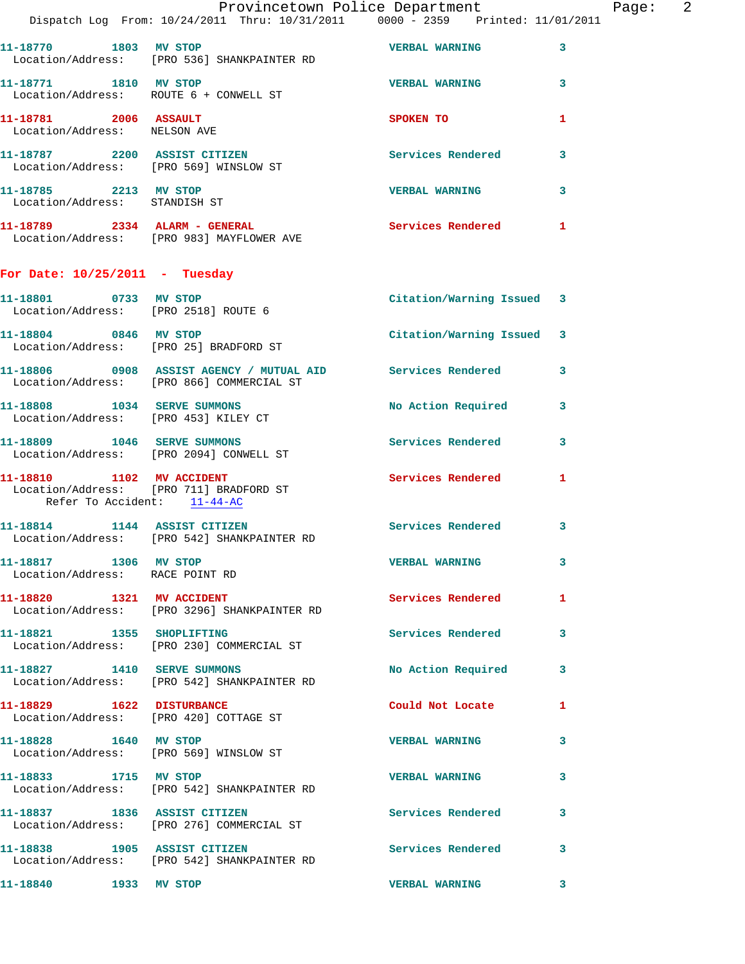|                                                                 | Dispatch Log From: 10/24/2011 Thru: 10/31/2011 0000 - 2359 Printed: 11/01/2011                          | Provincetown Police Department | Page: 2      |
|-----------------------------------------------------------------|---------------------------------------------------------------------------------------------------------|--------------------------------|--------------|
|                                                                 | 11-18770 1803 MV STOP<br>Location/Address: [PRO 536] SHANKPAINTER RD                                    | <b>VERBAL WARNING</b>          | $\mathbf{3}$ |
| 11-18771 1810 MV STOP                                           | Location/Address: ROUTE 6 + CONWELL ST                                                                  | <b>VERBAL WARNING</b>          | 3            |
| 11-18781 2006 ASSAULT<br>Location/Address: NELSON AVE           |                                                                                                         | SPOKEN TO                      | 1            |
|                                                                 | 11-18787 2200 ASSIST CITIZEN<br>Location/Address: [PRO 569] WINSLOW ST                                  | Services Rendered 3            |              |
| 11-18785 2213 MV STOP<br>Location/Address: STANDISH ST          |                                                                                                         | <b>VERBAL WARNING</b>          | 3            |
|                                                                 | 11-18789 2334 ALARM - GENERAL<br>Location/Address: [PRO 983] MAYFLOWER AVE                              | Services Rendered 1            |              |
| For Date: $10/25/2011$ - Tuesday                                |                                                                                                         |                                |              |
| 11-18801 0733 MV STOP<br>Location/Address: [PRO 2518] ROUTE 6   |                                                                                                         | Citation/Warning Issued 3      |              |
| 11-18804 0846 MV STOP<br>Location/Address: [PRO 25] BRADFORD ST |                                                                                                         | Citation/Warning Issued 3      |              |
|                                                                 | 11-18806 0908 ASSIST AGENCY / MUTUAL AID Services Rendered<br>Location/Address: [PRO 866] COMMERCIAL ST |                                | 3            |
|                                                                 | 11-18808 1034 SERVE SUMMONS<br>Location/Address: [PRO 453] KILEY CT                                     | No Action Required 3           |              |
|                                                                 | 11-18809 1046 SERVE SUMMONS<br>Location/Address: [PRO 2094] CONWELL ST                                  | <b>Services Rendered</b>       | 3            |
| Refer To Accident: 11-44-AC                                     | 11-18810 1102 MV ACCIDENT<br>Location/Address: [PRO 711] BRADFORD ST                                    | Services Rendered 1            |              |
|                                                                 | 11-18814 1144 ASSIST CITIZEN<br>Location/Address: [PRO 542] SHANKPAINTER RD                             | Services Rendered              | 3            |
| 11-18817 1306 MV STOP<br>Location/Address: RACE POINT RD        |                                                                                                         | <b>VERBAL WARNING</b>          | 3            |
|                                                                 | 11-18820 1321 MV ACCIDENT<br>Location/Address: [PRO 3296] SHANKPAINTER RD                               | Services Rendered 1            |              |
|                                                                 | 11-18821 1355 SHOPLIFTING<br>Location/Address: [PRO 230] COMMERCIAL ST                                  | Services Rendered              | 3            |
|                                                                 | 11-18827 1410 SERVE SUMMONS<br>Location/Address: [PRO 542] SHANKPAINTER RD                              | No Action Required             | 3            |
| 11-18829 1622 DISTURBANCE                                       | Location/Address: [PRO 420] COTTAGE ST                                                                  | Could Not Locate 1             |              |
| 11-18828 1640 MV STOP<br>Location/Address: [PRO 569] WINSLOW ST |                                                                                                         | <b>VERBAL WARNING</b>          | 3            |
| 11-18833 1715 MV STOP                                           | Location/Address: [PRO 542] SHANKPAINTER RD                                                             | <b>VERBAL WARNING</b>          | 3            |
|                                                                 | 11-18837 1836 ASSIST CITIZEN<br>Location/Address: [PRO 276] COMMERCIAL ST                               | Services Rendered              | 3            |
| 11-18838 1905 ASSIST CITIZEN                                    | Location/Address: [PRO 542] SHANKPAINTER RD                                                             | Services Rendered 3            |              |
| 11-18840 1933 MV STOP                                           |                                                                                                         | <b>VERBAL WARNING</b>          | 3            |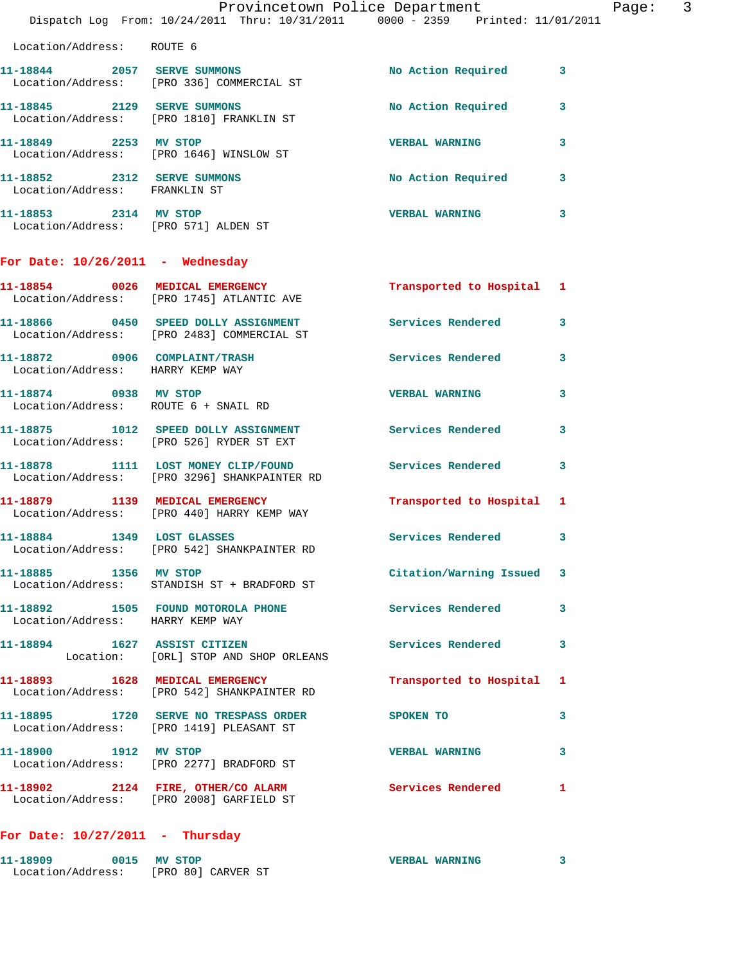|                                                               | Provincetown Police Department Fage: 3<br>Dispatch Log From: 10/24/2011 Thru: 10/31/2011 0000 - 2359 Printed: 11/01/2011 |                           |              |
|---------------------------------------------------------------|--------------------------------------------------------------------------------------------------------------------------|---------------------------|--------------|
| Location/Address: ROUTE 6                                     |                                                                                                                          |                           |              |
|                                                               |                                                                                                                          | No Action Required 3      |              |
|                                                               | 11-18844 2057 SERVE SUMMONS<br>Location/Address: [PRO 336] COMMERCIAL ST                                                 |                           |              |
|                                                               | 11-18845 2129 SERVE SUMMONS<br>Location/Address: [PRO 1810] FRANKLIN ST                                                  | No Action Required 3      |              |
|                                                               | 11-18849 2253 MV STOP<br>Location/Address: [PRO 1646] WINSLOW ST                                                         | <b>VERBAL WARNING</b>     | $\mathbf{3}$ |
| 11-18852 2312 SERVE SUMMONS<br>Location/Address: FRANKLIN ST  |                                                                                                                          | No Action Required 3      |              |
| 11-18853 2314 MV STOP<br>Location/Address: [PRO 571] ALDEN ST |                                                                                                                          | VERBAL WARNING 3          |              |
| For Date: $10/26/2011$ - Wednesday                            |                                                                                                                          |                           |              |
|                                                               | 11-18854 0026 MEDICAL EMERGENCY<br>Location/Address: [PRO 1745] ATLANTIC AVE                                             | Transported to Hospital 1 |              |
|                                                               | 11-18866 0450 SPEED DOLLY ASSIGNMENT Services Rendered 3<br>Location/Address: [PRO 2483] COMMERCIAL ST                   |                           |              |
| Location/Address: HARRY KEMP WAY                              | 11-18872 0906 COMPLAINT/TRASH                                                                                            | Services Rendered 3       |              |
| 11-18874 0938 MV STOP<br>Location/Address: ROUTE 6 + SNAIL RD |                                                                                                                          | <b>VERBAL WARNING</b>     | 3            |
|                                                               | 11-18875 1012 SPEED DOLLY ASSIGNMENT Services Rendered 3<br>Location/Address: [PRO 526] RYDER ST EXT                     |                           |              |
|                                                               | 11-18878 1111 LOST MONEY CLIP/FOUND<br>Location/Address: [PRO 3296] SHANKPAINTER RD                                      | Services Rendered         | $\mathbf{3}$ |
|                                                               | 11-18879 1139 MEDICAL EMERGENCY<br>Location/Address: [PRO 440] HARRY KEMP WAY                                            | Transported to Hospital 1 |              |
| 11-18884 1349 LOST GLASSES                                    | Location/Address: [PRO 542] SHANKPAINTER RD                                                                              | <b>Services Rendered</b>  | 3            |
| 11-18885 1356 MV STOP                                         | Location/Address: STANDISH ST + BRADFORD ST                                                                              | Citation/Warning Issued 3 |              |
| Location/Address: HARRY KEMP WAY                              | 11-18892 1505 FOUND MOTOROLA PHONE 5ervices Rendered                                                                     |                           | $\mathbf{3}$ |
|                                                               | 11-18894 1627 ASSIST CITIZEN<br>Location: [ORL] STOP AND SHOP ORLEANS                                                    | Services Rendered 3       |              |
|                                                               | 11-18893 1628 MEDICAL EMERGENCY<br>Location/Address: [PRO 542] SHANKPAINTER RD                                           | Transported to Hospital 1 |              |
|                                                               | 11-18895 1720 SERVE NO TRESPASS ORDER SPOKEN TO<br>Location/Address: [PRO 1419] PLEASANT ST                              |                           | $\mathbf{3}$ |
| 11-18900 1912 MV STOP                                         | Location/Address: [PRO 2277] BRADFORD ST                                                                                 | <b>VERBAL WARNING</b>     | 3            |
|                                                               | 11-18902 2124 FIRE, OTHER/CO ALARM Services Rendered 1<br>Location/Address: [PRO 2008] GARFIELD ST                       |                           |              |
| For Date: $10/27/2011$ - Thursday                             |                                                                                                                          |                           |              |

| 11-18909          | 0015 MV STOP |                    | <b>VERBAL WARNING</b> |  |
|-------------------|--------------|--------------------|-----------------------|--|
| Location/Address: |              | [PRO 80] CARVER ST |                       |  |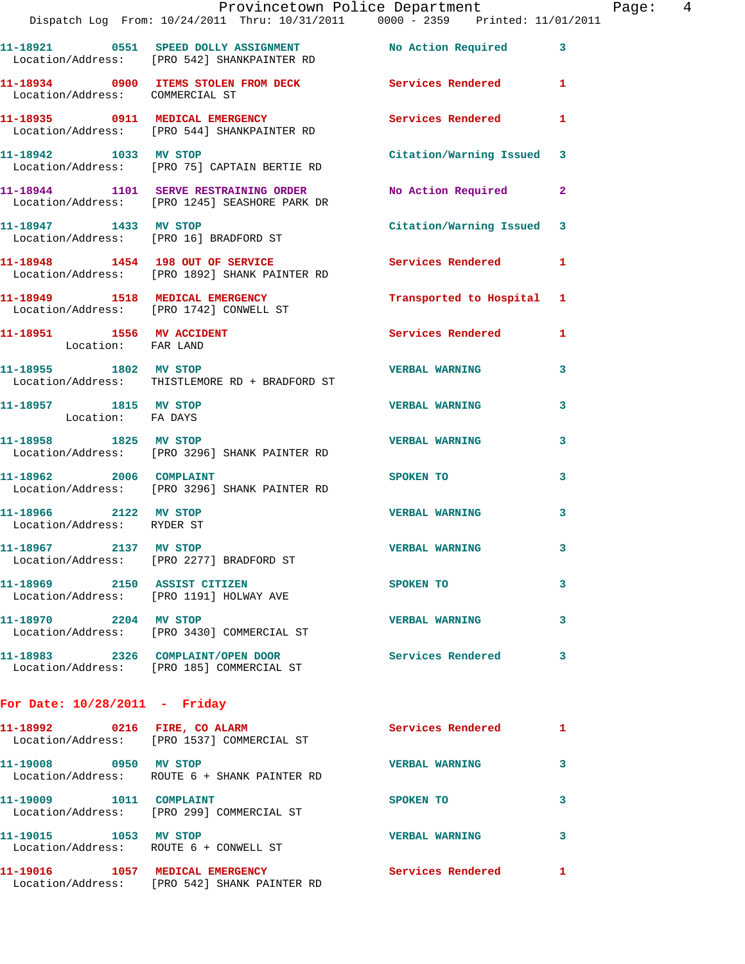|                                                     | Dispatch Log From: 10/24/2011 Thru: 10/31/2011 0000 - 2359 Printed: 11/01/2011                              | Provincetown Police Department Fage: 4 |              |  |
|-----------------------------------------------------|-------------------------------------------------------------------------------------------------------------|----------------------------------------|--------------|--|
|                                                     | 11-18921 0551 SPEED DOLLY ASSIGNMENT No Action Required 3<br>Location/Address: [PRO 542] SHANKPAINTER RD    |                                        |              |  |
| Location/Address: COMMERCIAL ST                     | 11-18934 0900 ITEMS STOLEN FROM DECK Services Rendered 1                                                    |                                        |              |  |
|                                                     | 11-18935   0911   MEDICAL EMERGENCY   Services Rendered   1<br>Location/Address: [PRO 544] SHANKPAINTER RD  |                                        |              |  |
|                                                     | 11-18942 1033 MV STOP<br>Location/Address: [PRO 75] CAPTAIN BERTIE RD                                       | Citation/Warning Issued 3              |              |  |
|                                                     | 11-18944 1101 SERVE RESTRAINING ORDER No Action Required 2<br>Location/Address: [PRO 1245] SEASHORE PARK DR |                                        |              |  |
|                                                     | 11-18947 1433 MV STOP<br>Location/Address: [PRO 16] BRADFORD ST                                             | Citation/Warning Issued 3              |              |  |
|                                                     | 11-18948 1454 198 OUT OF SERVICE Services Rendered 1<br>Location/Address: [PRO 1892] SHANK PAINTER RD       |                                        |              |  |
|                                                     | 11-18949 1518 MEDICAL EMERGENCY Transported to Hospital 1<br>Location/Address: [PRO 1742] CONWELL ST        |                                        |              |  |
| Location: FAR LAND                                  | 11-18951 1556 MV ACCIDENT                                                                                   | Services Rendered 1                    |              |  |
|                                                     | Location/Address: THISTLEMORE RD + BRADFORD ST                                                              |                                        | 3            |  |
| 11-18957 1815 MV STOP<br>Location: FA DAYS          |                                                                                                             | <b>VERBAL WARNING</b>                  | 3            |  |
|                                                     | 11-18958 1825 MV STOP 11-18958 2007<br>Location/Address: [PRO 3296] SHANK PAINTER RD                        |                                        | 3            |  |
| 11-18962 2006 COMPLAINT                             | Location/Address: [PRO 3296] SHANK PAINTER RD                                                               | SPOKEN TO                              | 3            |  |
| 11-18966 2122 MV STOP<br>Location/Address: RYDER ST |                                                                                                             | <b>VERBAL WARNING</b>                  | 3            |  |
| 11-18967 2137 MV STOP                               | Location/Address: [PRO 2277] BRADFORD ST                                                                    | <b>VERBAL WARNING</b>                  |              |  |
|                                                     | 11-18969 2150 ASSIST CITIZEN<br>Location/Address: [PRO 1191] HOLWAY AVE                                     | SPOKEN TO                              | 3            |  |
| 11-18970 2204 MV STOP                               | Location/Address: [PRO 3430] COMMERCIAL ST                                                                  | <b>VERBAL WARNING</b>                  | 3            |  |
|                                                     | 11-18983 2326 COMPLAINT/OPEN DOOR Services Rendered<br>Location/Address: [PRO 185] COMMERCIAL ST            |                                        | 3            |  |
| For Date: $10/28/2011$ - Friday                     |                                                                                                             |                                        |              |  |
|                                                     | 11-18992 0216 FIRE, CO ALARM<br>Location/Address: [PRO 1537] COMMERCIAL ST                                  | Services Rendered                      | $\mathbf{1}$ |  |
| 11-19008 0950 MV STOP                               | Location/Address: ROUTE 6 + SHANK PAINTER RD                                                                | VERBAL WARNING 3                       |              |  |
|                                                     | 11-19009 1011 COMPLAINT<br>Location/Address: [PRO 299] COMMERCIAL ST                                        | SPOKEN TO                              | 3            |  |
| 11-19015 1053 MV STOP                               | Location/Address: ROUTE 6 + CONWELL ST                                                                      | <b>VERBAL WARNING</b>                  | 3            |  |
|                                                     | 11-19016 1057 MEDICAL EMERGENCY Services Rendered 1                                                         |                                        |              |  |

Location/Address: [PRO 542] SHANK PAINTER RD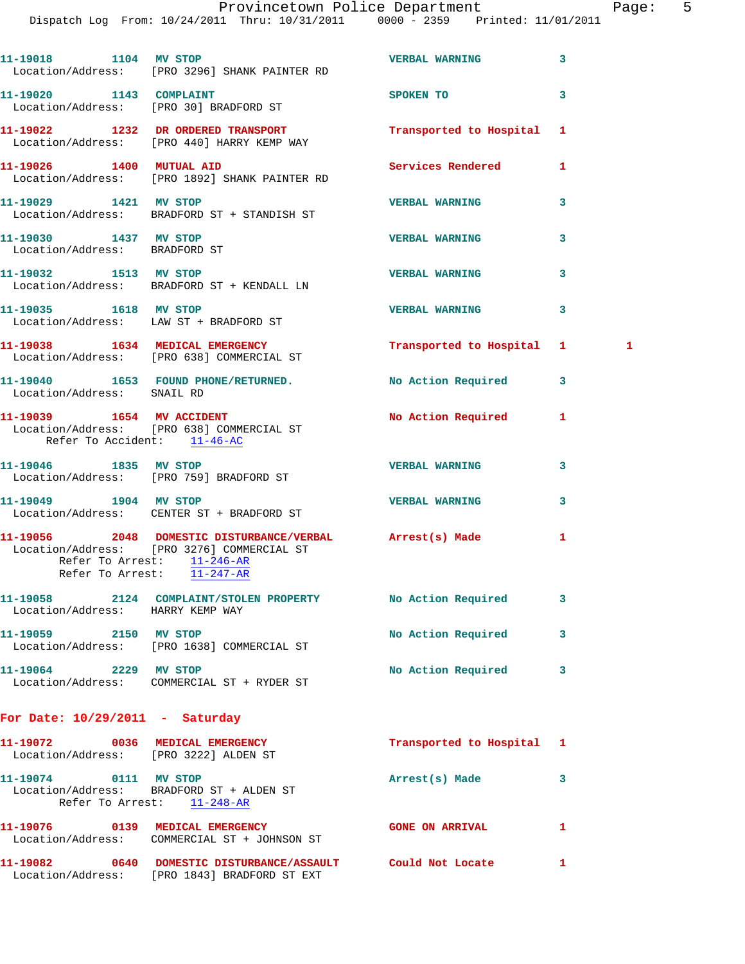Dispatch Log From: 10/24/2011 Thru: 10/31/2011 0000 - 2359 Printed: 11/01/2011

| 11-19018 1104 MV STOP                                  | Location/Address: [PRO 3296] SHANK PAINTER RD                                                                                                                      | <b>VERBAL WARNING</b>     | 3 |   |
|--------------------------------------------------------|--------------------------------------------------------------------------------------------------------------------------------------------------------------------|---------------------------|---|---|
| 11-19020 1143 COMPLAINT                                | Location/Address: [PRO 30] BRADFORD ST                                                                                                                             | <b>SPOKEN TO</b>          | 3 |   |
|                                                        | 11-19022 1232 DR ORDERED TRANSPORT<br>Location/Address: [PRO 440] HARRY KEMP WAY                                                                                   | Transported to Hospital 1 |   |   |
|                                                        | 11-19026   1400   MUTUAL AID<br>Location/Address: [PRO 1892] SHANK PAINTER RD                                                                                      | <b>Services Rendered</b>  | 1 |   |
| 11-19029 1421 MV STOP                                  | Location/Address: BRADFORD ST + STANDISH ST                                                                                                                        | <b>VERBAL WARNING</b>     | 3 |   |
| 11-19030 1437 MV STOP<br>Location/Address: BRADFORD ST |                                                                                                                                                                    | <b>VERBAL WARNING</b>     | 3 |   |
| 11-19032 1513 MV STOP                                  | Location/Address: BRADFORD ST + KENDALL LN                                                                                                                         | <b>VERBAL WARNING</b>     | 3 |   |
| 11-19035   1618   MV STOP                              | Location/Address: LAW ST + BRADFORD ST                                                                                                                             | <b>VERBAL WARNING</b>     | 3 |   |
|                                                        | 11-19038 1634 MEDICAL EMERGENCY<br>Location/Address: [PRO 638] COMMERCIAL ST                                                                                       | Transported to Hospital 1 |   | 1 |
| Location/Address: SNAIL RD                             | 11-19040 1653 FOUND PHONE/RETURNED. No Action Required                                                                                                             |                           | 3 |   |
| Refer To Accident: 11-46-AC                            | 11-19039 1654 MV ACCIDENT<br>Location/Address: [PRO 638] COMMERCIAL ST                                                                                             | <b>No Action Required</b> | 1 |   |
| 11-19046 1835 MV STOP                                  | Location/Address: [PRO 759] BRADFORD ST                                                                                                                            | <b>VERBAL WARNING</b>     | 3 |   |
|                                                        | 11-19049    1904    MV STOP<br>Location/Address: CENTER ST + BRADFORD ST                                                                                           | <b>VERBAL WARNING</b>     | 3 |   |
|                                                        | 11-19056 2048 DOMESTIC DISTURBANCE/VERBAL Arrest(s) Made<br>Location/Address: [PRO 3276] COMMERCIAL ST<br>Refer To Arrest: 11-246-AR<br>Refer To Arrest: 11-247-AR |                           | 1 |   |
| Location/Address: HARRY KEMP WAY                       | 11-19058 2124 COMPLAINT/STOLEN PROPERTY No Action Required                                                                                                         |                           | 3 |   |
| 11-19059 2150 MV STOP                                  | Location/Address: [PRO 1638] COMMERCIAL ST                                                                                                                         | No Action Required        | 3 |   |
| 11-19064 2229 MV STOP                                  | Location/Address: COMMERCIAL ST + RYDER ST                                                                                                                         | No Action Required        | 3 |   |
| For Date: $10/29/2011$ - Saturday                      |                                                                                                                                                                    |                           |   |   |
| Location/Address: [PRO 3222] ALDEN ST                  | 11-19072 0036 MEDICAL EMERGENCY                                                                                                                                    | Transported to Hospital   | 1 |   |
| 11-19074 0111 MV STOP<br>Refer To Arrest: 11-248-AR    | Location/Address: BRADFORD ST + ALDEN ST                                                                                                                           | Arrest(s) Made            | 3 |   |
|                                                        | 11-19076 0139 MEDICAL EMERGENCY<br>Location/Address: COMMERCIAL ST + JOHNSON ST                                                                                    | <b>GONE ON ARRIVAL</b>    | 1 |   |
|                                                        | 11-19082 0640 DOMESTIC DISTURBANCE/ASSAULT Could Not Locate<br>Location/Address: [PRO 1843] BRADFORD ST EXT                                                        |                           | 1 |   |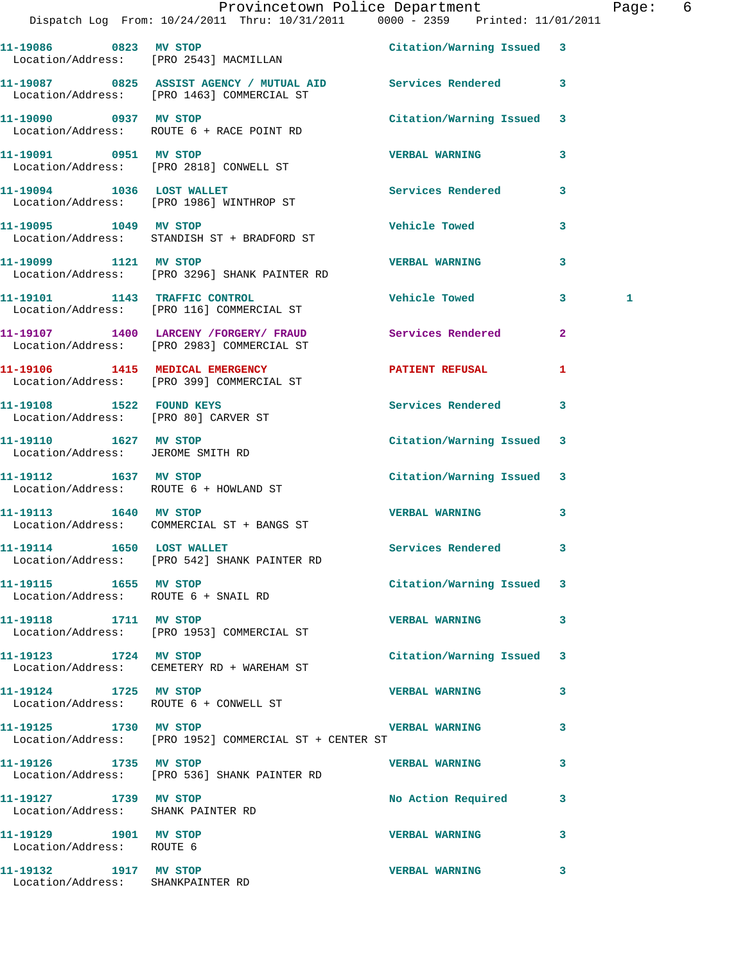|                                                               | Provincetown Police Department Page: 6<br>Dispatch Log From: 10/24/2011 Thru: 10/31/2011 0000 - 2359 Printed: 11/01/2011 |                           |                         |   |  |
|---------------------------------------------------------------|--------------------------------------------------------------------------------------------------------------------------|---------------------------|-------------------------|---|--|
|                                                               | 11-19086 0823 MV STOP<br>Location/Address: [PRO 2543] MACMILLAN                                                          | Citation/Warning Issued 3 |                         |   |  |
|                                                               | 11-19087 0825 ASSIST AGENCY / MUTUAL AID Services Rendered 3<br>Location/Address: [PRO 1463] COMMERCIAL ST               |                           |                         |   |  |
|                                                               | 11-19090 0937 MV STOP<br>Location/Address: ROUTE 6 + RACE POINT RD                                                       | Citation/Warning Issued 3 |                         |   |  |
| 11-19091 0951 MV STOP                                         | Location/Address: [PRO 2818] CONWELL ST                                                                                  | <b>VERBAL WARNING</b>     | 3                       |   |  |
|                                                               | 11-19094 1036 LOST WALLET<br>Location/Address: [PRO 1986] WINTHROP ST                                                    | Services Rendered         | $\mathbf{3}$            |   |  |
| 11-19095 1049 MV STOP                                         | Location/Address: STANDISH ST + BRADFORD ST                                                                              | <b>Vehicle Towed</b>      | 3                       |   |  |
| 11-19099 1121 MV STOP                                         | Location/Address: [PRO 3296] SHANK PAINTER RD                                                                            | <b>VERBAL WARNING</b>     | 3                       |   |  |
|                                                               | 11-19101 1143 TRAFFIC CONTROL<br>Location/Address: [PRO 116] COMMERCIAL ST                                               | <b>Vehicle Towed</b>      | 3                       | 1 |  |
|                                                               | 11-19107 1400 LARCENY /FORGERY / FRAUD Services Rendered<br>Location/Address: [PRO 2983] COMMERCIAL ST                   |                           | $\overline{2}$          |   |  |
|                                                               | 11-19106 1415 MEDICAL EMERGENCY<br>Location/Address: [PRO 399] COMMERCIAL ST                                             | <b>PATIENT REFUSAL</b>    | 1                       |   |  |
| Location/Address: [PRO 80] CARVER ST                          | 11-19108 1522 FOUND KEYS                                                                                                 | Services Rendered 3       |                         |   |  |
| 11-19110 1627 MV STOP<br>Location/Address: JEROME SMITH RD    |                                                                                                                          | Citation/Warning Issued 3 |                         |   |  |
| 11-19112 1637 MV STOP                                         | Location/Address: ROUTE 6 + HOWLAND ST                                                                                   | Citation/Warning Issued 3 |                         |   |  |
|                                                               | 11-19113 1640 MV STOP<br>Location/Address: COMMERCIAL ST + BANGS ST                                                      | <b>VERBAL WARNING</b>     | 3                       |   |  |
|                                                               | 11-19114 1650 LOST WALLET<br>Location/Address: [PRO 542] SHANK PAINTER RD                                                | Services Rendered 3       |                         |   |  |
| 11-19115 1655 MV STOP<br>Location/Address: ROUTE 6 + SNAIL RD |                                                                                                                          | Citation/Warning Issued 3 |                         |   |  |
| 11-19118 1711 MV STOP                                         | Location/Address: [PRO 1953] COMMERCIAL ST                                                                               | <b>VERBAL WARNING</b>     | 3                       |   |  |
| 11-19123 1724 MV STOP                                         | Location/Address: CEMETERY RD + WAREHAM ST                                                                               | Citation/Warning Issued 3 |                         |   |  |
| 11-19124 1725 MV STOP                                         | Location/Address: ROUTE 6 + CONWELL ST                                                                                   | <b>VERBAL WARNING</b>     | 3                       |   |  |
|                                                               | 11-19125 1730 MV STOP 1997 2008 2009 VERBAL WARNING<br>Location/Address: [PRO 1952] COMMERCIAL ST + CENTER ST            |                           | 3                       |   |  |
| 11-19126 1735 MV STOP                                         | Location/Address: [PRO 536] SHANK PAINTER RD                                                                             | VERBAL WARNING 3          |                         |   |  |
| 11-19127 1739 MV STOP<br>Location/Address: SHANK PAINTER RD   |                                                                                                                          | No Action Required        | $\overline{\mathbf{3}}$ |   |  |
| 11-19129 1901 MV STOP<br>Location/Address: ROUTE 6            |                                                                                                                          | VERBAL WARNING 3          |                         |   |  |
| 11-19132 1917 MV STOP<br>Location/Address: SHANKPAINTER RD    |                                                                                                                          | <b>VERBAL WARNING</b>     | 3                       |   |  |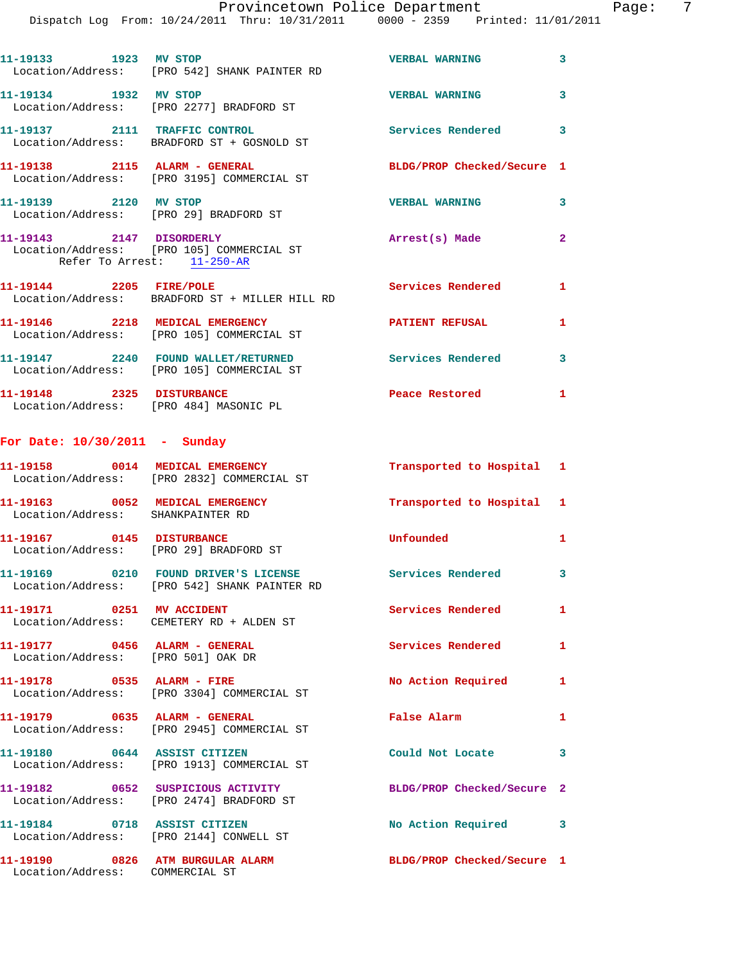|                                                                     | Dispatch Log From: 10/24/2011 Thru: 10/31/2011 0000 - 2359 Printed: 11/01/2011                         | Provincetown Police Department              | Page: 7      |  |
|---------------------------------------------------------------------|--------------------------------------------------------------------------------------------------------|---------------------------------------------|--------------|--|
|                                                                     |                                                                                                        | <b>VERBAL WARNING</b>                       | 3            |  |
|                                                                     | 11-19133 1923 MV STOP<br>Location/Address: [PRO 542] SHANK PAINTER RD                                  |                                             |              |  |
| 11-19134 1932 MV STOP                                               | Location/Address: [PRO 2277] BRADFORD ST                                                               | <b>VERBAL WARNING</b>                       | 3            |  |
|                                                                     | 11-19137 2111 TRAFFIC CONTROL<br>Location/Address: BRADFORD ST + GOSNOLD ST                            | Services Rendered 3                         |              |  |
|                                                                     | 11-19138 2115 ALARM - GENERAL<br>Location/Address: [PRO 3195] COMMERCIAL ST                            | BLDG/PROP Checked/Secure 1                  |              |  |
| 11-19139 2120 MV STOP                                               | Location/Address: [PRO 29] BRADFORD ST                                                                 | VERBAL WARNING 3                            |              |  |
| Refer To Arrest: 11-250-AR                                          | 11-19143 2147 DISORDERLY<br>Location/Address: [PRO 105] COMMERCIAL ST                                  | Arrest(s) Made                              | $\mathbf{2}$ |  |
| 11-19144 2205 FIRE/POLE                                             | Location/Address: BRADFORD ST + MILLER HILL RD                                                         | Services Rendered                           | $\mathbf{1}$ |  |
|                                                                     | 11-19146 2218 MEDICAL EMERGENCY<br>Location/Address: [PRO 105] COMMERCIAL ST                           | PATIENT REFUSAL 1                           |              |  |
|                                                                     | 11-19147 2240 FOUND WALLET/RETURNED<br>Location/Address: [PRO 105] COMMERCIAL ST                       | Services Rendered                           | $\mathbf{3}$ |  |
|                                                                     | 11-19148 2325 DISTURBANCE<br>Location/Address: [PRO 484] MASONIC PL                                    | Peace Restored 1                            |              |  |
| For Date: 10/30/2011 - Sunday                                       |                                                                                                        |                                             |              |  |
|                                                                     | 11-19158 0014 MEDICAL EMERGENCY<br>Location/Address: [PRO 2832] COMMERCIAL ST                          | Transported to Hospital 1                   |              |  |
| Location/Address: SHANKPAINTER RD                                   | 11-19163 0052 MEDICAL EMERGENCY                                                                        | Transported to Hospital 1                   |              |  |
| 11-19167 0145 DISTURBANCE<br>Location/Address: [PRO 29] BRADFORD ST |                                                                                                        | Unfounded                                   | $\mathbf{1}$ |  |
|                                                                     | 11-19169 0210 FOUND DRIVER'S LICENSE Services Rendered<br>Location/Address: [PRO 542] SHANK PAINTER RD |                                             | 3            |  |
|                                                                     | 11-19171 0251 MV ACCIDENT<br>Location/Address: CEMETERY RD + ALDEN ST                                  | Services Rendered                           | $\mathbf{1}$ |  |
| Location/Address: [PRO 501] OAK DR                                  | 11-19177 0456 ALARM - GENERAL                                                                          | Services Rendered                           | $\mathbf{1}$ |  |
|                                                                     | 11-19178 0535 ALARM - FIRE<br>Location/Address: [PRO 3304] COMMERCIAL ST                               | No Action Required 1                        |              |  |
| 11-19179 0635 ALARM - GENERAL                                       | Location/Address: [PRO 2945] COMMERCIAL ST                                                             | False Alarm <b>Exercise Service Service</b> | 1            |  |
|                                                                     | 11-19180 0644 ASSIST CITIZEN<br>Location/Address: [PRO 1913] COMMERCIAL ST                             | Could Not Locate                            | 3            |  |
|                                                                     | Location/Address: [PRO 2474] BRADFORD ST                                                               | BLDG/PROP Checked/Secure 2                  |              |  |
|                                                                     | 11-19184 0718 ASSIST CITIZEN                                                                           | No Action Required 3                        |              |  |

Location/Address: [PRO 2144] CONWELL ST

Location/Address: COMMERCIAL ST

**11-19190 0826 ATM BURGULAR ALARM BLDG/PROP Checked/Secure 1**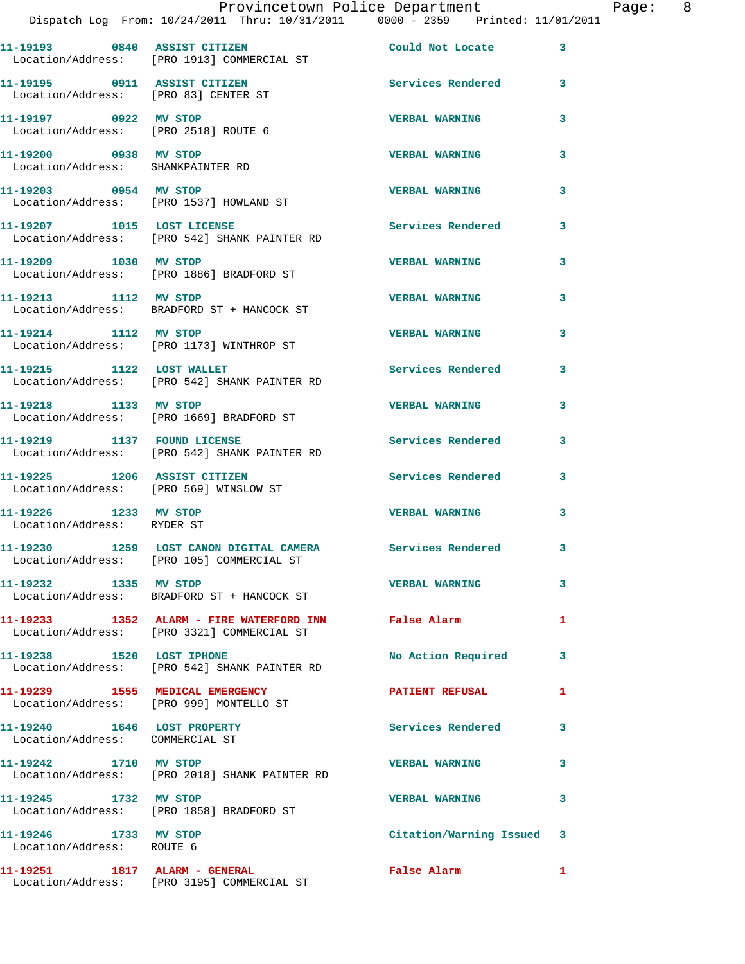|                                                                        | Provincetown Police Department<br>Dispatch Log From: 10/24/2011 Thru: 10/31/2011 0000 - 2359 Printed: 11/01/2011 |                          |    |
|------------------------------------------------------------------------|------------------------------------------------------------------------------------------------------------------|--------------------------|----|
|                                                                        | 11-19193 0840 ASSIST CITIZEN<br>Location/Address: [PRO 1913] COMMERCIAL ST                                       | Could Not Locate         | 3  |
| 11-19195 0911 ASSIST CITIZEN<br>Location/Address: [PRO 83] CENTER ST   |                                                                                                                  | Services Rendered        | 3  |
| 11-19197 0922 MV STOP<br>Location/Address: [PRO 2518] ROUTE 6          |                                                                                                                  | <b>VERBAL WARNING</b>    | 3  |
| 11-19200 0938 MV STOP<br>Location/Address: SHANKPAINTER RD             |                                                                                                                  | <b>VERBAL WARNING</b>    | 3  |
| 11-19203 0954 MV STOP                                                  | Location/Address: [PRO 1537] HOWLAND ST                                                                          | <b>VERBAL WARNING</b>    | 3  |
|                                                                        | 11-19207 1015 LOST LICENSE<br>Location/Address: [PRO 542] SHANK PAINTER RD                                       | <b>Services Rendered</b> | 3  |
| 11-19209 1030 MV STOP                                                  | Location/Address: [PRO 1886] BRADFORD ST                                                                         | <b>VERBAL WARNING</b>    | 3  |
| 11-19213 1112 MV STOP                                                  | Location/Address: BRADFORD ST + HANCOCK ST                                                                       | <b>VERBAL WARNING</b>    | 3  |
| 11-19214 1112 MV STOP                                                  | Location/Address: [PRO 1173] WINTHROP ST                                                                         | <b>VERBAL WARNING</b>    | 3  |
|                                                                        | 11-19215 1122 LOST WALLET<br>Location/Address: [PRO 542] SHANK PAINTER RD                                        | <b>Services Rendered</b> | 3  |
| 11-19218 1133 MV STOP                                                  | Location/Address: [PRO 1669] BRADFORD ST                                                                         | <b>VERBAL WARNING</b>    | 3  |
|                                                                        | 11-19219 1137 FOUND LICENSE<br>Location/Address: [PRO 542] SHANK PAINTER RD                                      | <b>Services Rendered</b> | 3  |
| 11-19225 1206 ASSIST CITIZEN<br>Location/Address: [PRO 569] WINSLOW ST |                                                                                                                  | <b>Services Rendered</b> | 3  |
| 11-19226 1233 MV STOP<br>Location/Address: RYDER ST                    |                                                                                                                  | <b>VERBAL WARNING</b>    | 3  |
|                                                                        | 11-19230 1259 LOST CANON DIGITAL CAMERA<br>Location/Address: [PRO 105] COMMERCIAL ST                             | <b>Services Rendered</b> |    |
| 11-19232 1335 MV STOP                                                  | Location/Address: BRADFORD ST + HANCOCK ST                                                                       | <b>VERBAL WARNING</b>    | 3  |
|                                                                        | 11-19233 1352 ALARM - FIRE WATERFORD INN False Alarm<br>Location/Address: [PRO 3321] COMMERCIAL ST               |                          | 1  |
| 11-19238 1520 LOST IPHONE                                              | Location/Address: [PRO 542] SHANK PAINTER RD                                                                     | No Action Required       | 3  |
|                                                                        | 11-19239 1555 MEDICAL EMERGENCY<br>Location/Address: [PRO 999] MONTELLO ST                                       | <b>PATIENT REFUSAL</b>   | 1  |
| 11-19240 1646 LOST PROPERTY<br>Location/Address: COMMERCIAL ST         |                                                                                                                  | <b>Services Rendered</b> | 3  |
| 11-19242 1710 MV STOP                                                  | Location/Address: [PRO 2018] SHANK PAINTER RD                                                                    | <b>VERBAL WARNING</b>    | 3  |
| 11-19245 1732 MV STOP                                                  | Location/Address: [PRO 1858] BRADFORD ST                                                                         | <b>VERBAL WARNING</b>    | 3  |
| 11-19246 1733 MV STOP<br>Location/Address: ROUTE 6                     |                                                                                                                  | Citation/Warning Issued  | 3  |
| 11-19251 1817 ALARM - GENERAL                                          |                                                                                                                  | <b>False Alarm</b>       | 1. |

Location/Address: [PRO 3195] COMMERCIAL ST

Page: 8<br>11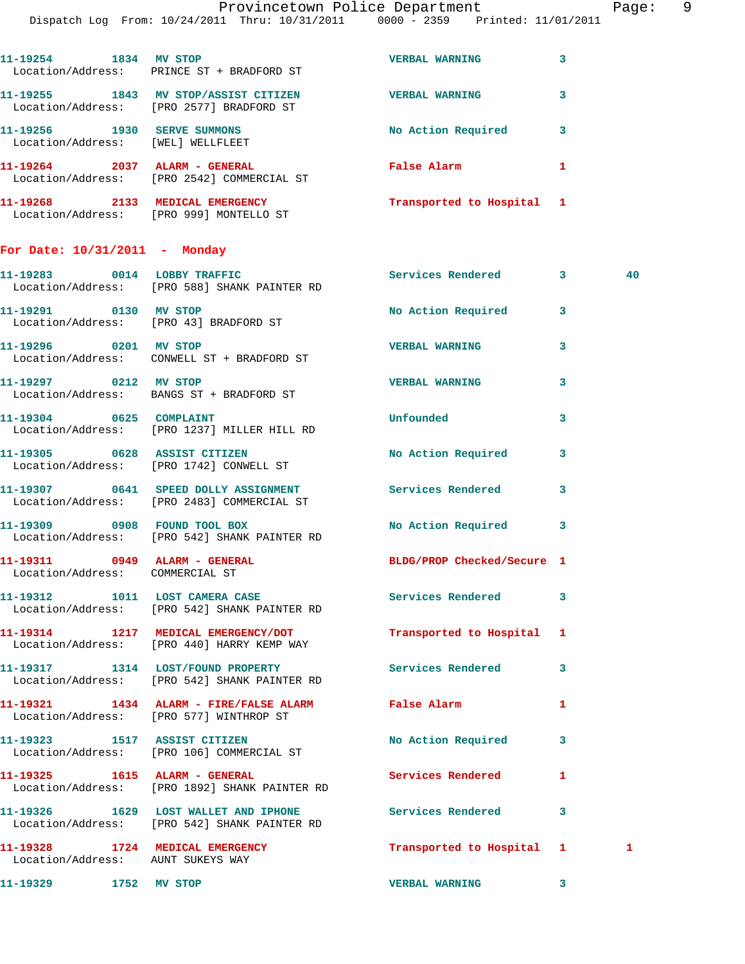Dispatch Log From: 10/24/2011 Thru: 10/31/2011 0000 - 2359 Printed: 11/01/2011

| 11-19268<br>2133                      | <b>EMERGENCY</b><br><b>MEDICAL</b>                   | Transported to Hospital |   |
|---------------------------------------|------------------------------------------------------|-------------------------|---|
| 11-19264<br>2037<br>Location/Address: | ALARM - GENERAL<br>[PRO 2542] COMMERCIAL ST          | False Alarm             |   |
| 11-19256<br>1930<br>Location/Address: | <b>SERVE SUMMONS</b><br>[WEL] WELLFLEET              | No Action Required      | 3 |
| 11-19255<br>1843<br>Location/Address: | MV STOP/ASSIST CITIZEN<br>[PRO 2577] BRADFORD ST     | <b>VERBAL WARNING</b>   | 3 |
| 11-19254<br>1834                      | MV STOP<br>Location/Address: PRINCE ST + BRADFORD ST | <b>VERBAL WARNING</b>   | 3 |
|                                       |                                                      |                         |   |

**For Date: 10/31/2011 - Monday**

Location/Address: [PRO 999] MONTELLO ST

**11-19283 0014 LOBBY TRAFFIC Services Rendered 3 40**  Location/Address: [PRO 588] SHANK PAINTER RD **11-19291 0130 MV STOP No Action Required 3**  Location/Address: [PRO 43] BRADFORD ST **11-19296 0201 MV STOP VERBAL WARNING 3**  Location/Address: CONWELL ST + BRADFORD ST **11-19297 0212 MV STOP VERBAL WARNING 3**  Location/Address: BANGS ST + BRADFORD ST **11-19304 0625 COMPLAINT Unfounded 3**  Location/Address: [PRO 1237] MILLER HILL RD **11-19305 0628 ASSIST CITIZEN No Action Required 3**  Location/Address: [PRO 1742] CONWELL ST **11-19307 0641 SPEED DOLLY ASSIGNMENT Services Rendered 3**  Location/Address: [PRO 2483] COMMERCIAL ST **11-19309 0908 FOUND TOOL BOX No Action Required 3**  Location/Address: [PRO 542] SHANK PAINTER RD **11-19311 0949 ALARM - GENERAL BLDG/PROP Checked/Secure 1**  Location/Address: COMMERCIAL ST **11-19312 1011 LOST CAMERA CASE Services Rendered 3**  Location/Address: [PRO 542] SHANK PAINTER RD **11-19314 1217 MEDICAL EMERGENCY/DOT Transported to Hospital 1**  Location/Address: [PRO 440] HARRY KEMP WAY **11-19317 1314 LOST/FOUND PROPERTY Services Rendered 3**  Location/Address: [PRO 542] SHANK PAINTER RD **11-19321 1434 ALARM - FIRE/FALSE ALARM False Alarm 1**  Location/Address: [PRO 577] WINTHROP ST **11-19323 1517 ASSIST CITIZEN No Action Required 3**  Location/Address: [PRO 106] COMMERCIAL ST **11-19325 1615 ALARM - GENERAL Services Rendered 1**  Location/Address: [PRO 1892] SHANK PAINTER RD **11-19326 1629 LOST WALLET AND IPHONE Services Rendered 3**  Location/Address: [PRO 542] SHANK PAINTER RD **11-19328 1724 MEDICAL EMERGENCY Transported to Hospital 1 1**  Location/Address: AUNT SUKEYS WAY

**11-19329 1752 MV STOP VERBAL WARNING 3**